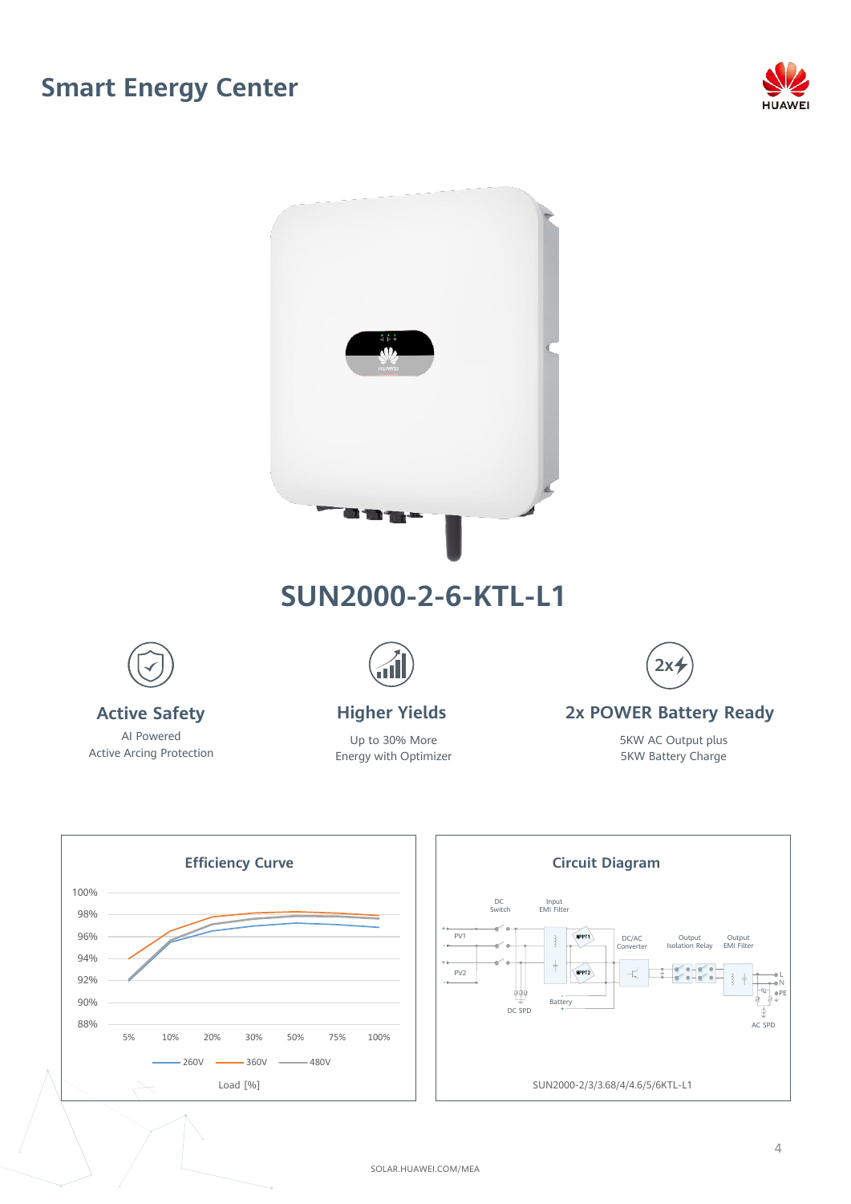## **Smart Energy Center**





AI Powered Active Arcing Protection

Up to 30% More Energy with Optimizer

5KW Battery Charge